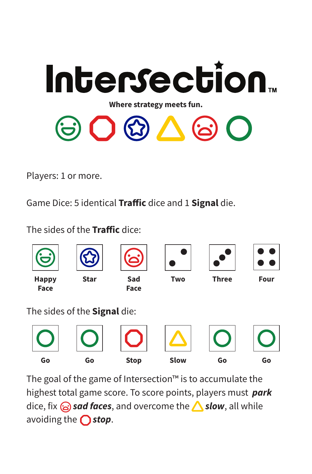

Players: 1 or more.

Game Dice: 5 identical Traffic dice and 1 Signal die.

The sides of the **Traffic** dice:

| $\overline{\phantom{0}}$ |                              |                    |             |              |             |
|--------------------------|------------------------------|--------------------|-------------|--------------|-------------|
| <b>Happy</b><br>Face     | <b>Star</b>                  | Sad<br><b>Face</b> | <b>Two</b>  | <b>Three</b> | <b>Four</b> |
|                          | The sides of the Signal die: |                    |             |              |             |
|                          |                              |                    |             |              |             |
| Go                       | Go                           | <b>Stop</b>        | <b>Slow</b> | Go           | Go          |

The goal of the game of Intersection™ is to accumulate the highest total game score. To score points, players must *park*  dice, fix **a** sad faces, and overcome the **Slow**, all while avoiding the  $\bigcap$  stop.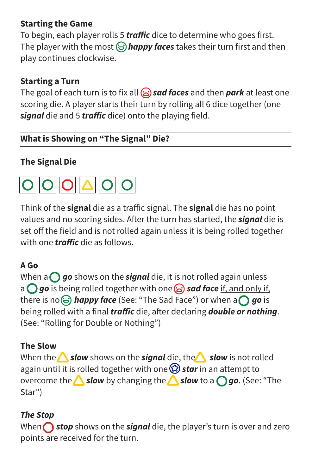#### **Starting the Game**

To begin, each player rolls 5 *traffic* dice to determine who goes first. The player with the most  $\bigodot$  *happy faces* takes their turn first and then play continues clockwise.

# **Starting a Turn**

The goal of each turn is to fix all  $\odot$  sad faces and then park at least one scoring die. A player starts their turn by rolling all 6 dice together (one *signal* die and 5 *traffic* dice) onto the playing field.

# **What is Showing on "The Signal" Die?**

# **The Signal Die**



Think of the **signal** die as a traffic signal. The **signal** die has no point values and no scoring sides. After the turn has started, the *signal* die is set off the field and is not rolled again unless it is being rolled together with one *traffic* die as follows.

#### **A Go**

When  $a \bigcap go$  shows on the *signal* die, it is not rolled again unless a *go* is being rolled together with one  $\hat{a}$  sad face if, and only if, there is no  $\odot$  *happy face* (See: "The Sad Face") or when a  $\bigcap$  go is being rolled with a final *traffic* die, after declaring *double or nothing*. (See: "Rolling for Double or Nothing")

#### **The Slow**

When the **Slow** shows on the *signal* die, the **slow** is not rolled again until it is rolled together with one *o* star in an attempt to overcome the **Slow** by changing the **Slow** to a *go*. (See: "The Star")

# *The Stop*

When **stop** shows on the **signal** die, the player's turn is over and zero points are received for the turn.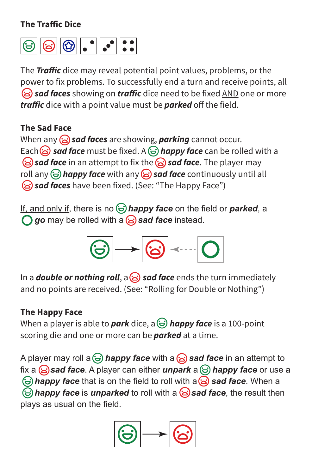#### **The Traffic Dice**



The **Traffic** dice may reveal potential point values, problems, or the power to fix problems. To successfully end a turn and receive points, all **sad faces** showing on **traffic** dice need to be fixed AND one or more *traffic* dice with a point value must be *parked* off the field.

#### **The Sad Face**

When any *sad faces* are showing, *parking* cannot occur. Each  $\odot$  sad face must be fixed. A  $\odot$  happy face can be rolled with a **sad face** in an attempt to fix the **sad face**. The player may roll any  $\bigodot$  *happy face* with any  $\bigodot$  *sad face* continuously until all *sad faces* have been fixed. (See: "The Happy Face")

If, and only if, there is no **∂ happy face** on the field or **parked**, a **go** may be rolled with a **a** sad face instead.

$$
\textcircled{\scriptsize{\circledcirc}} \rightarrow \textcircled{\scriptsize{\circledcirc}} \rightarrow \textcircled{\scriptsize{\circledcirc}}
$$

In a *double or nothing roll*, a **sad face** ends the turn immediately and no points are received. (See: "Rolling for Double or Nothing")

# **The Happy Face**

When a player is able to *park* dice, a **∂ happy face** is a 100-point scoring die and one or more can be *parked* at a time.

A player may roll a  $\bigodot$  *happy face* with a  $\bigodot$  sad face in an attempt to fix a **s** sad face. A player can either *unpark* a  $\bigodot$  *happy face* or use a  $\Theta$  happy face that is on the field to roll with a  $\Theta$  sad face. When a *happy face is unparked to roll with a sad face, the result then* plays as usual on the field.

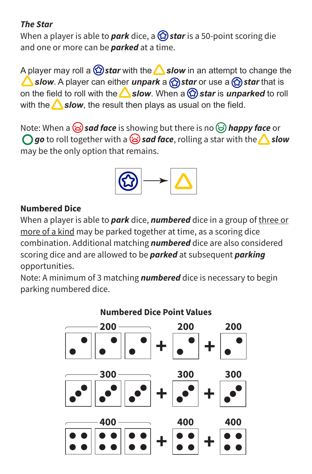#### *The Star*

When a player is able to *park* dice, a *star* is a 50-point scoring die and one or more can be *parked* at a time.

A player may roll a  $\bigcirc$  **star** with the **Slow** in an attempt to change the **Slow**. A player can either *unpark* a  $\bigcirc$  *star* or use a  $\bigcirc$  *star* that is on the field to roll with the **△slow**. When a *۞star* is *unparked* to roll with the  $\triangle$  slow, the result then plays as usual on the field.

Note: When a *sad face* is showing but there is no *happy face* or  $\bigcirc$  go to roll together with a  $\odot$  sad face, rolling a star with the **A** slow may be the only option that remains.



#### **Numbered Dice**

When a player is able to *park* dice, *numbered* dice in a group of three or more of a kind may be parked together at time, as a scoring dice combination. Additional matching *numbered* dice are also considered scoring dice and are allowed to be *parked* at subsequent *parking*  opportunities.

Note: A minimum of 3 matching *numbered* dice is necessary to begin parking numbered dice.

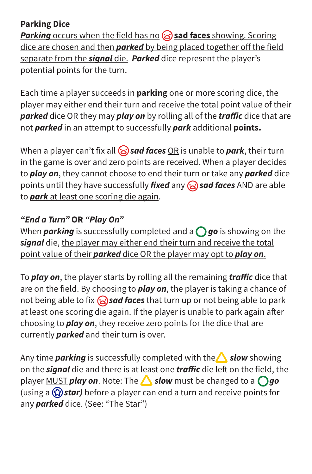#### **Parking Dice**

*Parking* occurs when the field has no **sad faces** showing. Scoring dice are chosen and then *parked* by being placed together off the field separate from the *signal* die. *Parked* dice represent the player's potential points for the turn.

Each time a player succeeds in **parking** one or more scoring dice, the player may either end their turn and receive the total point value of their *parked* dice OR they may *play on* by rolling all of the *traffic* dice that are not *parked* in an attempt to successfully *park* additional **points.**

When a player can't fix all  $\odot$  sad faces **OR** is unable to park, their turn in the game is over and zero points are received. When a player decides to *play on*, they cannot choose to end their turn or take any *parked* dice points until they have successfully *fixed* any *sad faces* AND are able to *park* at least one scoring die again.

#### *"End a Turn"* **OR** *"Play On"*

When **parking** is successfully completed and a  $\bigcap$  go is showing on the *signal* die, the player may either end their turn and receive the total point value of their *parked* dice OR the player may opt to *play on*.

To *play on*, the player starts by rolling all the remaining *traffic* dice that are on the field. By choosing to *play on*, the player is taking a chance of not being able to fix *sad faces* that turn up or not being able to park at least one scoring die again. If the player is unable to park again after choosing to *play on*, they receive zero points for the dice that are currently *parked* and their turn is over.

Any time *parking* is successfully completed with the **Slow** showing on the **signal** die and there is at least one **traffic** die left on the field, the player MUST *play on*. Note: The **Slow** must be changed to a *go* (using a  $\circled{2}$  star) before a player can end a turn and receive points for any *parked* dice. (See: "The Star")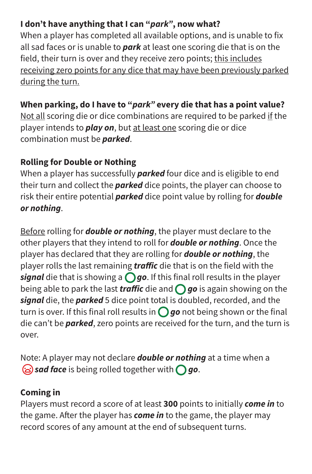# **I don't have anything that I can "***park"***, now what?**

When a player has completed all available options, and is unable to fix all sad faces or is unable to *park* at least one scoring die that is on the field, their turn is over and they receive zero points; this includes receiving zero points for any dice that may have been previously parked during the turn.

# **When parking, do I have to "***park"* **every die that has a point value?**

Not all scoring die or dice combinations are required to be parked if the player intends to *play on*, but at least one scoring die or dice combination must be *parked*.

#### **Rolling for Double or Nothing**

When a player has successfully *parked* four dice and is eligible to end their turn and collect the *parked* dice points, the player can choose to risk their entire potential *parked* dice point value by rolling for *double or nothing*.

Before rolling for *double or nothing*, the player must declare to the other players that they intend to roll for *double or nothing*. Once the player has declared that they are rolling for *double or nothing*, the player rolls the last remaining *traffic* die that is on the field with the *signal* die that is showing a  $\bigcirc$  go. If this final roll results in the player being able to park the last *traffic* die and  $\bigcap$  go is again showing on the *signal* die, the *parked* 5 dice point total is doubled, recorded, and the turn is over. If this final roll results in  $\bigcirc$  go not being shown or the final die can't be *parked*, zero points are received for the turn, and the turn is over.

Note: A player may not declare *double or nothing* at a time when a *sad face* is being rolled together with *go*.

#### **Coming in**

Players must record a score of at least **300** points to initially *come in* to the game. After the player has **come in** to the game, the player may record scores of any amount at the end of subsequent turns.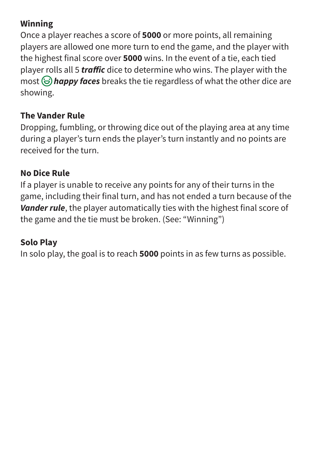#### **Winning**

Once a player reaches a score of **5000** or more points, all remaining players are allowed one more turn to end the game, and the player with the highest final score over **5000** wins. In the event of a tie, each tied player rolls all 5 *traffic* dice to determine who wins. The player with the most  $\Theta$  **happy faces** breaks the tie regardless of what the other dice are showing.

# **The Vander Rule**

Dropping, fumbling, or throwing dice out of the playing area at any time during a player's turn ends the player's turn instantly and no points are received for the turn.

#### **No Dice Rule**

If a player is unable to receive any points for any of their turns in the game, including their final turn, and has not ended a turn because of the *Vander rule*, the player automatically ties with the highest final score of the game and the tie must be broken. (See: "Winning")

# **Solo Play**

In solo play, the goal is to reach **5000** points in as few turns as possible.